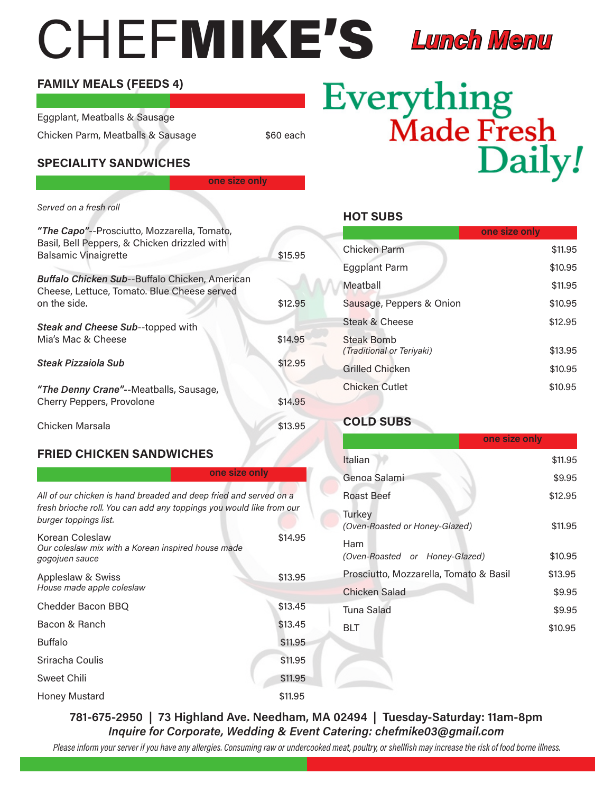## CHEFMIKE'S

#### Lunch Menu

#### FAMILY MEALS (FEEDS 4)

Eggplant, Meatballs & Sausage Chicken Parm, Meatballs & Sausage  $$60$  each

one size only

#### SPECIALITY SANDWICHES

Served on a fresh roll "The Capo"--Prosciutto, Mozzarella, Tomato, Basil, Bell Peppers, & Chicken drizzled with Balsamic Vinaigrette \$15.95 Buffalo Chicken Sub--Buffalo Chicken, American Cheese, Lettuce, Tomato. Blue Cheese served on the side. \$12.95 Steak and Cheese Sub--topped with Mia's Mac & Cheese \$14.95 Steak Pizzaiola Sub  $$12.95$ "The Denny Crane"--Meatballs, Sausage, Cherry Peppers, Provolone  $$14.95$ Chicken Marsala **\$13.95** 

#### FRIED CHICKEN SANDWICHES

| one size only                                                                                                                                                      |         |
|--------------------------------------------------------------------------------------------------------------------------------------------------------------------|---------|
| All of our chicken is hand breaded and deep fried and served on a<br>fresh brioche roll. You can add any toppings you would like from our<br>burger toppings list. |         |
| Korean Coleslaw<br>Our coleslaw mix with a Korean inspired house made<br>gogojuen sauce                                                                            | \$14.95 |
| Appleslaw & Swiss<br>House made apple coleslaw                                                                                                                     | \$13.95 |
| Chedder Bacon BBQ                                                                                                                                                  | \$13.45 |
| Bacon & Ranch                                                                                                                                                      | \$13.45 |
| <b>Buffalo</b>                                                                                                                                                     | \$11.95 |
| Sriracha Coulis                                                                                                                                                    | \$11.95 |
| Sweet Chili                                                                                                                                                        | \$11.95 |
| Honey Mustard                                                                                                                                                      | \$11.95 |

### Everything<br>Made Fresh Daily!

HOT SUBS

|                                         | one size only |
|-----------------------------------------|---------------|
| Chicken Parm                            | \$11.95       |
| <b>Eggplant Parm</b>                    | \$10.95       |
| Meathall                                | \$11.95       |
| Sausage, Peppers & Onion                | \$10.95       |
| Steak & Cheese                          | \$12.95       |
| Steak Bomb<br>(Traditional or Teriyaki) | \$13.95       |
| Grilled Chicken                         | \$10.95       |
| Chicken Cutlet                          | \$10.95       |

#### COLD SUBS

|                                          | one size only |
|------------------------------------------|---------------|
| Italian                                  | \$11.95       |
| Genoa Salami                             | \$9.95        |
| Roast Beef                               | \$12.95       |
| Turkey<br>(Oven-Roasted or Honey-Glazed) | \$11.95       |
| Ham<br>(Oven-Roasted or Honey-Glazed)    | \$10.95       |
| Prosciutto, Mozzarella, Tomato & Basil   | \$13.95       |
| Chicken Salad                            | \$9.95        |
| Tuna Salad                               | \$9.95        |
| BIT                                      | \$10.95       |
|                                          |               |

781-675-2950 | 73 Highland Ave. Needham, MA 02494 | Tuesday-Saturday: 11am-8pm Inquire for Corporate, Wedding & Event Catering: chefmike03@gmail.com

Please inform your server if you have any allergies. Consuming raw or undercooked meat, poultry, or shellfish may increase the risk of food borne illness.